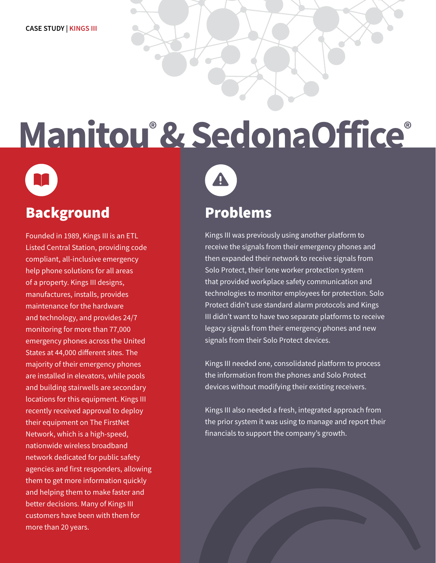## **Manitou® & SedonaOffice®**

### Background

Founded in 1989, Kings III is an ETL Listed Central Station, providing code compliant, all-inclusive emergency help phone solutions for all areas of a property. Kings III designs, manufactures, installs, provides maintenance for the hardware and technology, and provides 24/7 monitoring for more than 77,000 emergency phones across the United States at 44,000 different sites. The majority of their emergency phones are installed in elevators, while pools and building stairwells are secondary locations for this equipment. Kings III recently received approval to deploy their equipment on The FirstNet Network, which is a high-speed, nationwide wireless broadband network dedicated for public safety agencies and first responders, allowing them to get more information quickly and helping them to make faster and better decisions. Many of Kings III customers have been with them for more than 20 years.



#### Problems

Kings III was previously using another platform to receive the signals from their emergency phones and then expanded their network to receive signals from Solo Protect, their lone worker protection system that provided workplace safety communication and technologies to monitor employees for protection. Solo Protect didn't use standard alarm protocols and Kings III didn't want to have two separate platforms to receive legacy signals from their emergency phones and new signals from their Solo Protect devices.

Kings III needed one, consolidated platform to process the information from the phones and Solo Protect devices without modifying their existing receivers.

Kings III also needed a fresh, integrated approach from the prior system it was using to manage and report their financials to support the company's growth.